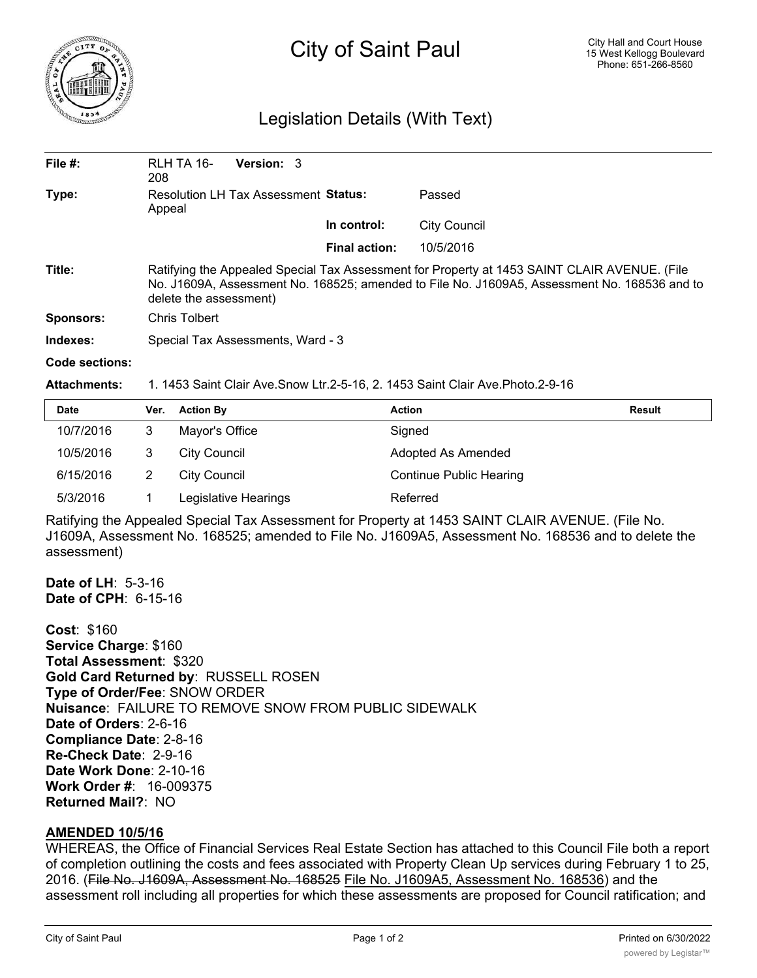

## City of Saint Paul

## Legislation Details (With Text)

| File $#$ :       | RLH TA 16-<br>208                                                                                                                                                                                                      | <b>Version: 3</b> |                      |                     |  |  |
|------------------|------------------------------------------------------------------------------------------------------------------------------------------------------------------------------------------------------------------------|-------------------|----------------------|---------------------|--|--|
| Type:            | <b>Resolution LH Tax Assessment Status:</b><br>Appeal                                                                                                                                                                  |                   |                      | Passed              |  |  |
|                  |                                                                                                                                                                                                                        |                   | In control:          | <b>City Council</b> |  |  |
|                  |                                                                                                                                                                                                                        |                   | <b>Final action:</b> | 10/5/2016           |  |  |
| Title:           | Ratifying the Appealed Special Tax Assessment for Property at 1453 SAINT CLAIR AVENUE. (File<br>No. J1609A, Assessment No. 168525; amended to File No. J1609A5, Assessment No. 168536 and to<br>delete the assessment) |                   |                      |                     |  |  |
| <b>Sponsors:</b> | Chris Tolbert                                                                                                                                                                                                          |                   |                      |                     |  |  |
| Indexes:         | Special Tax Assessments, Ward - 3                                                                                                                                                                                      |                   |                      |                     |  |  |
| Code sections:   |                                                                                                                                                                                                                        |                   |                      |                     |  |  |

**Attachments:** 1. 1453 Saint Clair Ave.Snow Ltr.2-5-16, 2. 1453 Saint Clair Ave.Photo.2-9-16

| <b>Date</b> | Ver. | <b>Action By</b>     | <b>Action</b>                  | <b>Result</b> |
|-------------|------|----------------------|--------------------------------|---------------|
| 10/7/2016   |      | Mayor's Office       | Signed                         |               |
| 10/5/2016   |      | City Council         | Adopted As Amended             |               |
| 6/15/2016   |      | City Council         | <b>Continue Public Hearing</b> |               |
| 5/3/2016    |      | Legislative Hearings | Referred                       |               |

Ratifying the Appealed Special Tax Assessment for Property at 1453 SAINT CLAIR AVENUE. (File No. J1609A, Assessment No. 168525; amended to File No. J1609A5, Assessment No. 168536 and to delete the assessment)

**Date of LH**: 5-3-16 **Date of CPH**: 6-15-16

**Cost**: \$160 **Service Charge**: \$160 **Total Assessment**: \$320 **Gold Card Returned by**: RUSSELL ROSEN **Type of Order/Fee**: SNOW ORDER **Nuisance**: FAILURE TO REMOVE SNOW FROM PUBLIC SIDEWALK **Date of Orders**: 2-6-16 **Compliance Date**: 2-8-16 **Re-Check Date**: 2-9-16 **Date Work Done**: 2-10-16 **Work Order #**: 16-009375 **Returned Mail?**: NO

## **AMENDED 10/5/16**

WHEREAS, the Office of Financial Services Real Estate Section has attached to this Council File both a report of completion outlining the costs and fees associated with Property Clean Up services during February 1 to 25, 2016. (File No. J1609A, Assessment No. 168525 File No. J1609A5, Assessment No. 168536) and the assessment roll including all properties for which these assessments are proposed for Council ratification; and